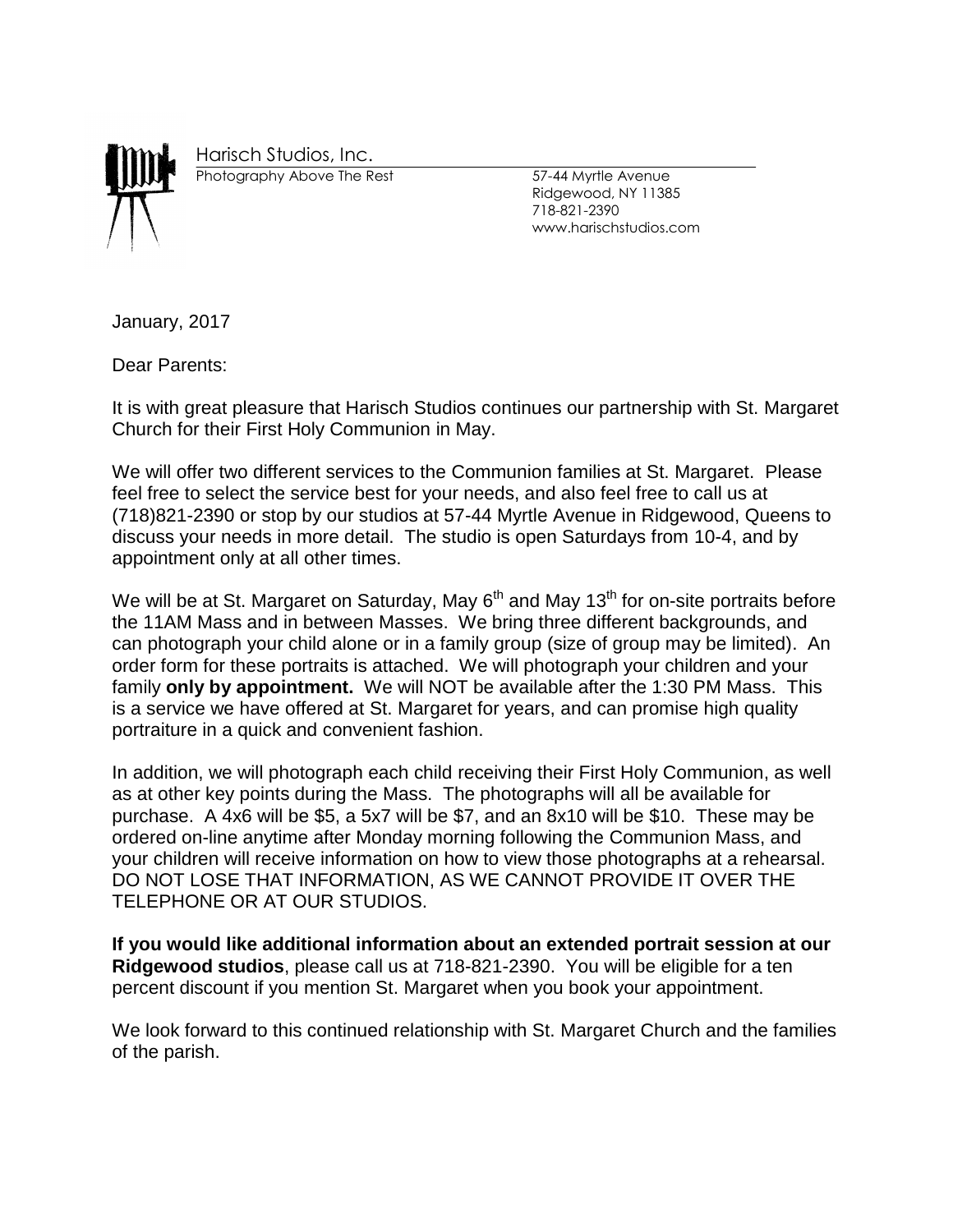

Harisch Studios, Inc.

Photography Above The Rest 57-44 Myrtle Avenue

Ridgewood, NY 11385 718-821-2390 www.harischstudios.com

January, 2017

Dear Parents:

It is with great pleasure that Harisch Studios continues our partnership with St. Margaret Church for their First Holy Communion in May.

We will offer two different services to the Communion families at St. Margaret. Please feel free to select the service best for your needs, and also feel free to call us at (718)821-2390 or stop by our studios at 57-44 Myrtle Avenue in Ridgewood, Queens to discuss your needs in more detail. The studio is open Saturdays from 10-4, and by appointment only at all other times.

We will be at St. Margaret on Saturday, May  $6<sup>th</sup>$  and May 13<sup>th</sup> for on-site portraits before the 11AM Mass and in between Masses. We bring three different backgrounds, and can photograph your child alone or in a family group (size of group may be limited). An order form for these portraits is attached. We will photograph your children and your family **only by appointment.** We will NOT be available after the 1:30 PM Mass. This is a service we have offered at St. Margaret for years, and can promise high quality portraiture in a quick and convenient fashion.

In addition, we will photograph each child receiving their First Holy Communion, as well as at other key points during the Mass. The photographs will all be available for purchase. A 4x6 will be \$5, a 5x7 will be \$7, and an 8x10 will be \$10. These may be ordered on-line anytime after Monday morning following the Communion Mass, and your children will receive information on how to view those photographs at a rehearsal. DO NOT LOSE THAT INFORMATION, AS WE CANNOT PROVIDE IT OVER THE TELEPHONE OR AT OUR STUDIOS.

**If you would like additional information about an extended portrait session at our Ridgewood studios**, please call us at 718-821-2390. You will be eligible for a ten percent discount if you mention St. Margaret when you book your appointment.

We look forward to this continued relationship with St. Margaret Church and the families of the parish.